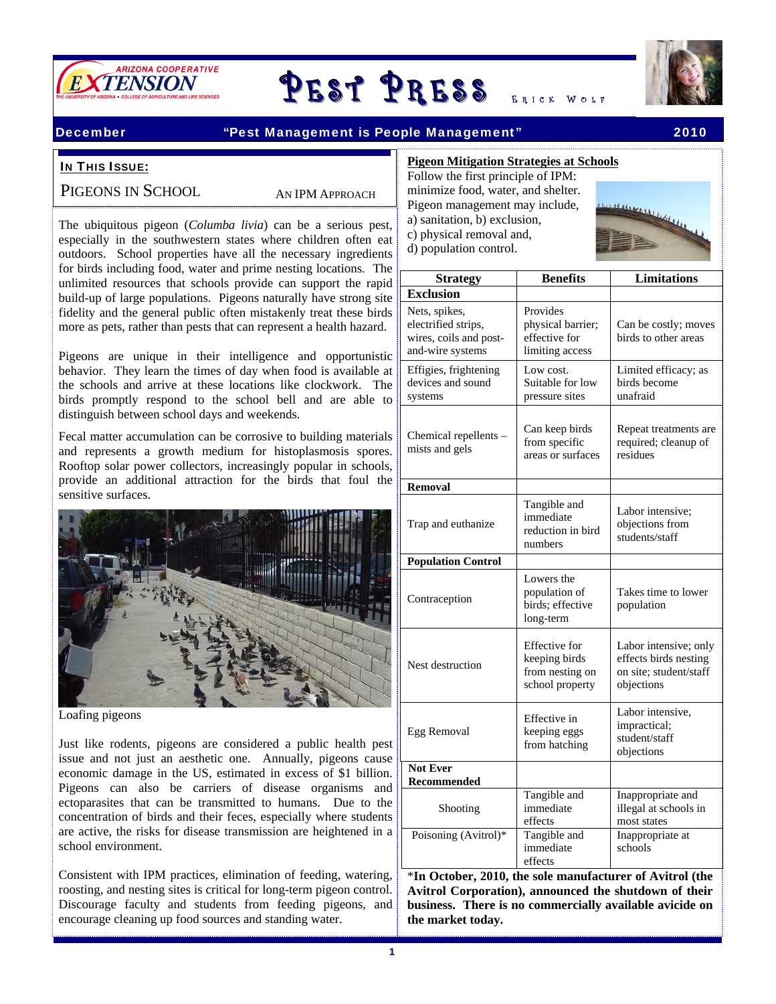

# ARIZONA COOPERATIVE<br>ENSION



# December "Pest Management is People Management" 2010

# **IN THIS ISSUE:**

PIGEONS IN SCHOOL

AN IPM APPROACH

 fidelity and the general public often mistakenly treat these birds The ubiquitous pigeon (*Columba livia*) can be a serious pest, especially in the southwestern states where children often eat outdoors. School properties have all the necessary ingredients for birds including food, water and prime nesting locations. The unlimited resources that schools provide can support the rapid build-up of large populations. Pigeons naturally have strong site more as pets, rather than pests that can represent a health hazard.

Pigeons are unique in their intelligence and opportunistic behavior. They learn the times of day when food is available at the schools and arrive at these locations like clockwork. The birds promptly respond to the school bell and are able to distinguish between school days and weekends.

Fecal matter accumulation can be corrosive to building materials and represents a growth medium for histoplasmosis spores. Rooftop solar power collectors, increasingly popular in schools, provide an additional attraction for the birds that foul the sensitive surfaces.



Loafing pigeons

Just like rodents, pigeons are considered a public health pest issue and not just an aesthetic one. Annually, pigeons cause economic damage in the US, estimated in excess of \$1 billion. Pigeons can also be carriers of disease organisms and ectoparasites that can be transmitted to humans. Due to the concentration of birds and their feces, especially where students are active, the risks for disease transmission are heightened in a school environment.

Consistent with IPM practices, elimination of feeding, watering, roosting, and nesting sites is critical for long-term pigeon control. Discourage faculty and students from feeding pigeons, and encourage cleaning up food sources and standing water.

# **Pigeon Mitigation Strategies at Schools** Follow the first principle of IPM:

minimize food, water, and shelter. Pigeon management may include, a) sanitation, b) exclusion, c) physical removal and, d) population control.



| <b>Strategy</b>                                                                    | <b>Benefits</b>                                                             | <b>Limitations</b>                                                                     |
|------------------------------------------------------------------------------------|-----------------------------------------------------------------------------|----------------------------------------------------------------------------------------|
| <b>Exclusion</b>                                                                   |                                                                             |                                                                                        |
| Nets, spikes,<br>electrified strips,<br>wires, coils and post-<br>and-wire systems | Provides<br>physical barrier;<br>effective for<br>limiting access           | Can be costly; moves<br>birds to other areas                                           |
| Effigies, frightening<br>devices and sound<br>systems                              | Low cost.<br>Suitable for low<br>pressure sites                             | Limited efficacy; as<br>birds become<br>unafraid                                       |
| Chemical repellents -<br>mists and gels                                            | Can keep birds<br>from specific<br>areas or surfaces                        | Repeat treatments are<br>required; cleanup of<br>residues                              |
| <b>Removal</b>                                                                     |                                                                             |                                                                                        |
| Trap and euthanize                                                                 | Tangible and<br>immediate<br>reduction in bird<br>numbers                   | Labor intensive;<br>objections from<br>students/staff                                  |
| <b>Population Control</b>                                                          |                                                                             |                                                                                        |
| Contraception                                                                      | Lowers the<br>population of<br>birds; effective<br>long-term                | Takes time to lower<br>population                                                      |
| Nest destruction                                                                   | <b>Effective</b> for<br>keeping birds<br>from nesting on<br>school property | Labor intensive; only<br>effects birds nesting<br>on site; student/staff<br>objections |
| Egg Removal                                                                        | Effective in<br>keeping eggs<br>from hatching                               | Labor intensive,<br>impractical;<br>student/staff<br>objections                        |
| Not Ever<br>Recommended                                                            |                                                                             |                                                                                        |
| Shooting                                                                           | Tangible and<br>immediate<br>effects                                        | Inappropriate and<br>illegal at schools in<br>most states                              |
| Poisoning (Avitrol)*                                                               | Tangible and<br>immediate<br>effects                                        | Inappropriate at<br>schools                                                            |

\***In October, 2010, the sole manufacturer of Avitrol (the Avitrol Corporation), announced the shutdown of their business. There is no commercially available avicide on the market today.**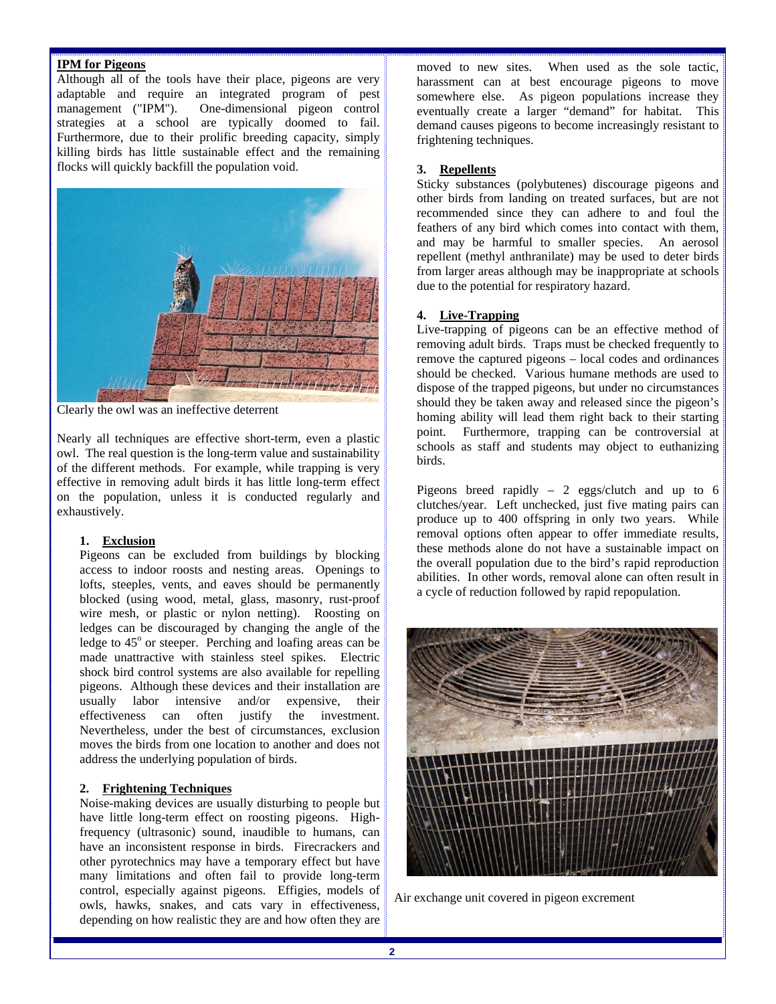# **IPM for Pigeons**

Although all of the tools have their place, pigeons are very adaptable and require an integrated program of pest management ("IPM"). One-dimensional pigeon control strategies at a school are typically doomed to fail. Furthermore, due to their prolific breeding capacity, simply killing birds has little sustainable effect and the remaining flocks will quickly backfill the population void.



Clearly the owl was an ineffective deterrent

Nearly all techniques are effective short-term, even a plastic owl. The real question is the long-term value and sustainability of the different methods. For example, while trapping is very effective in removing adult birds it has little long-term effect on the population, unless it is conducted regularly and exhaustively.

### **1. Exclusion**

Pigeons can be excluded from buildings by blocking access to indoor roosts and nesting areas. Openings to lofts, steeples, vents, and eaves should be permanently blocked (using wood, metal, glass, masonry, rust-proof wire mesh, or plastic or nylon netting). Roosting on ledges can be discouraged by changing the angle of the ledge to 45° or steeper. Perching and loafing areas can be made unattractive with stainless steel spikes. Electric shock bird control systems are also available for repelling pigeons. Although these devices and their installation are usually labor intensive and/or expensive, their effectiveness can often justify the investment. Nevertheless, under the best of circumstances, exclusion moves the birds from one location to another and does not address the underlying population of birds.

### **2. Frightening Techniques**

Noise-making devices are usually disturbing to people but have little long-term effect on roosting pigeons. Highfrequency (ultrasonic) sound, inaudible to humans, can have an inconsistent response in birds. Firecrackers and other pyrotechnics may have a temporary effect but have many limitations and often fail to provide long-term control, especially against pigeons. Effigies, models of owls, hawks, snakes, and cats vary in effectiveness, depending on how realistic they are and how often they are

moved to new sites. When used as the sole tactic, harassment can at best encourage pigeons to move somewhere else. As pigeon populations increase they eventually create a larger "demand" for habitat. This demand causes pigeons to become increasingly resistant to frightening techniques.

# **3. Repellents**

Sticky substances (polybutenes) discourage pigeons and other birds from landing on treated surfaces, but are not recommended since they can adhere to and foul the feathers of any bird which comes into contact with them, and may be harmful to smaller species. An aerosol repellent (methyl anthranilate) may be used to deter birds from larger areas although may be inappropriate at schools due to the potential for respiratory hazard.

# **4. Live-Trapping**

Live-trapping of pigeons can be an effective method of removing adult birds. Traps must be checked frequently to remove the captured pigeons – local codes and ordinances should be checked. Various humane methods are used to dispose of the trapped pigeons, but under no circumstances should they be taken away and released since the pigeon's homing ability will lead them right back to their starting point. Furthermore, trapping can be controversial at schools as staff and students may object to euthanizing birds.

Pigeons breed rapidly – 2 eggs/clutch and up to 6 clutches/year. Left unchecked, just five mating pairs can produce up to 400 offspring in only two years. While removal options often appear to offer immediate results, these methods alone do not have a sustainable impact on the overall population due to the bird's rapid reproduction abilities. In other words, removal alone can often result in a cycle of reduction followed by rapid repopulation.



Air exchange unit covered in pigeon excrement